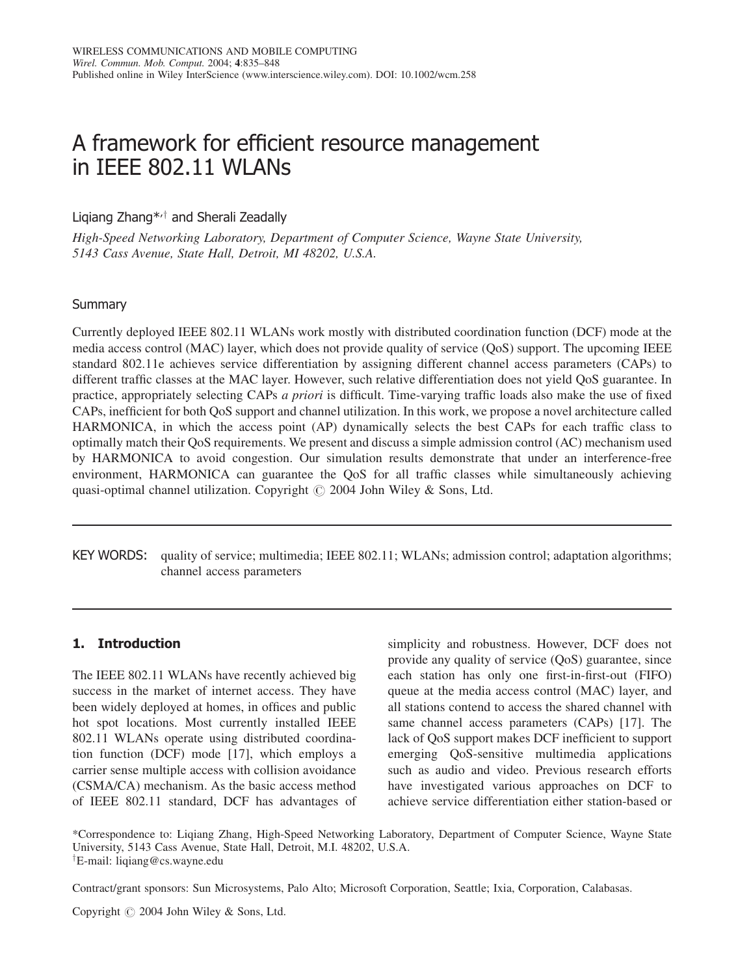# A framework for efficient resource management in IEEE 802.11 WLANs

Ligiang Zhang $*$ <sup>†</sup> and Sherali Zeadally

High-Speed Networking Laboratory, Department of Computer Science, Wayne State University, 5143 Cass Avenue, State Hall, Detroit, MI 48202, U.S.A.

# Summary

Currently deployed IEEE 802.11 WLANs work mostly with distributed coordination function (DCF) mode at the media access control (MAC) layer, which does not provide quality of service (QoS) support. The upcoming IEEE standard 802.11e achieves service differentiation by assigning different channel access parameters (CAPs) to different traffic classes at the MAC layer. However, such relative differentiation does not yield QoS guarantee. In practice, appropriately selecting CAPs a priori is difficult. Time-varying traffic loads also make the use of fixed CAPs, inefficient for both QoS support and channel utilization. In this work, we propose a novel architecture called HARMONICA, in which the access point (AP) dynamically selects the best CAPs for each traffic class to optimally match their QoS requirements. We present and discuss a simple admission control (AC) mechanism used by HARMONICA to avoid congestion. Our simulation results demonstrate that under an interference-free environment, HARMONICA can guarantee the QoS for all traffic classes while simultaneously achieving quasi-optimal channel utilization. Copyright  $\odot$  2004 John Wiley & Sons, Ltd.

KEY WORDS: quality of service; multimedia; IEEE 802.11; WLANs; admission control; adaptation algorithms; channel access parameters

# 1. Introduction

The IEEE 802.11 WLANs have recently achieved big success in the market of internet access. They have been widely deployed at homes, in offices and public hot spot locations. Most currently installed IEEE 802.11 WLANs operate using distributed coordination function (DCF) mode [17], which employs a carrier sense multiple access with collision avoidance (CSMA/CA) mechanism. As the basic access method of IEEE 802.11 standard, DCF has advantages of simplicity and robustness. However, DCF does not provide any quality of service (QoS) guarantee, since each station has only one first-in-first-out (FIFO) queue at the media access control (MAC) layer, and all stations contend to access the shared channel with same channel access parameters (CAPs) [17]. The lack of QoS support makes DCF inefficient to support emerging QoS-sensitive multimedia applications such as audio and video. Previous research efforts have investigated various approaches on DCF to achieve service differentiation either station-based or

\*Correspondence to: Liqiang Zhang, High-Speed Networking Laboratory, Department of Computer Science, Wayne State University, 5143 Cass Avenue, State Hall, Detroit, M.I. 48202, U.S.A. <sup>†</sup>E-mail: liqiang@cs.wayne.edu

Contract/grant sponsors: Sun Microsystems, Palo Alto; Microsoft Corporation, Seattle; Ixia, Corporation, Calabasas.

Copyright  $\odot$  2004 John Wiley & Sons, Ltd.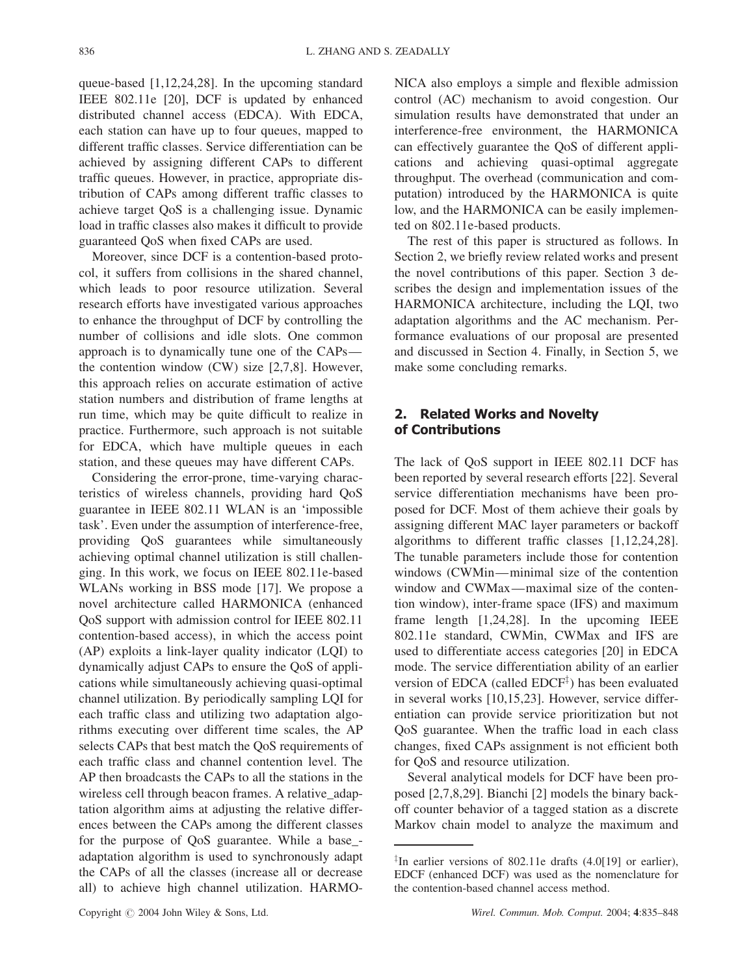queue-based [1,12,24,28]. In the upcoming standard IEEE 802.11e [20], DCF is updated by enhanced distributed channel access (EDCA). With EDCA, each station can have up to four queues, mapped to different traffic classes. Service differentiation can be achieved by assigning different CAPs to different traffic queues. However, in practice, appropriate distribution of CAPs among different traffic classes to achieve target QoS is a challenging issue. Dynamic load in traffic classes also makes it difficult to provide guaranteed QoS when fixed CAPs are used.

Moreover, since DCF is a contention-based protocol, it suffers from collisions in the shared channel, which leads to poor resource utilization. Several research efforts have investigated various approaches to enhance the throughput of DCF by controlling the number of collisions and idle slots. One common approach is to dynamically tune one of the CAPs the contention window (CW) size [2,7,8]. However, this approach relies on accurate estimation of active station numbers and distribution of frame lengths at run time, which may be quite difficult to realize in practice. Furthermore, such approach is not suitable for EDCA, which have multiple queues in each station, and these queues may have different CAPs.

Considering the error-prone, time-varying characteristics of wireless channels, providing hard QoS guarantee in IEEE 802.11 WLAN is an 'impossible task'. Even under the assumption of interference-free, providing QoS guarantees while simultaneously achieving optimal channel utilization is still challenging. In this work, we focus on IEEE 802.11e-based WLANs working in BSS mode [17]. We propose a novel architecture called HARMONICA (enhanced QoS support with admission control for IEEE 802.11 contention-based access), in which the access point (AP) exploits a link-layer quality indicator (LQI) to dynamically adjust CAPs to ensure the QoS of applications while simultaneously achieving quasi-optimal channel utilization. By periodically sampling LQI for each traffic class and utilizing two adaptation algorithms executing over different time scales, the AP selects CAPs that best match the QoS requirements of each traffic class and channel contention level. The AP then broadcasts the CAPs to all the stations in the wireless cell through beacon frames. A relative\_adaptation algorithm aims at adjusting the relative differences between the CAPs among the different classes for the purpose of QoS guarantee. While a base\_ adaptation algorithm is used to synchronously adapt the CAPs of all the classes (increase all or decrease all) to achieve high channel utilization. HARMO-

NICA also employs a simple and flexible admission control (AC) mechanism to avoid congestion. Our simulation results have demonstrated that under an interference-free environment, the HARMONICA can effectively guarantee the QoS of different applications and achieving quasi-optimal aggregate throughput. The overhead (communication and computation) introduced by the HARMONICA is quite low, and the HARMONICA can be easily implemented on 802.11e-based products.

The rest of this paper is structured as follows. In Section 2, we briefly review related works and present the novel contributions of this paper. Section 3 describes the design and implementation issues of the HARMONICA architecture, including the LQI, two adaptation algorithms and the AC mechanism. Performance evaluations of our proposal are presented and discussed in Section 4. Finally, in Section 5, we make some concluding remarks.

# 2. Related Works and Novelty of Contributions

The lack of QoS support in IEEE 802.11 DCF has been reported by several research efforts [22]. Several service differentiation mechanisms have been proposed for DCF. Most of them achieve their goals by assigning different MAC layer parameters or backoff algorithms to different traffic classes [1,12,24,28]. The tunable parameters include those for contention windows (CWMin—minimal size of the contention window and CWMax—maximal size of the contention window), inter-frame space (IFS) and maximum frame length [1,24,28]. In the upcoming IEEE 802.11e standard, CWMin, CWMax and IFS are used to differentiate access categories [20] in EDCA mode. The service differentiation ability of an earlier version of EDCA (called EDCF<sup> $\ddagger$ </sup>) has been evaluated in several works [10,15,23]. However, service differentiation can provide service prioritization but not QoS guarantee. When the traffic load in each class changes, fixed CAPs assignment is not efficient both for QoS and resource utilization.

Several analytical models for DCF have been proposed [2,7,8,29]. Bianchi [2] models the binary backoff counter behavior of a tagged station as a discrete Markov chain model to analyze the maximum and

z In earlier versions of 802.11e drafts (4.0[19] or earlier), EDCF (enhanced DCF) was used as the nomenclature for the contention-based channel access method.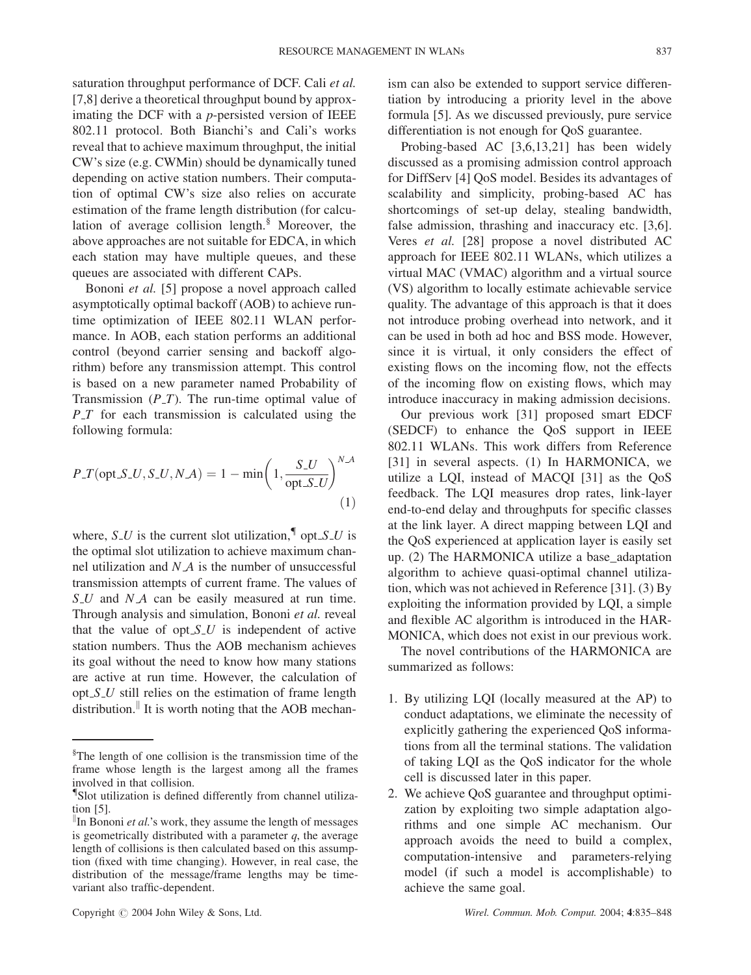saturation throughput performance of DCF. Cali et al. [7,8] derive a theoretical throughput bound by approximating the DCF with a  $p$ -persisted version of IEEE 802.11 protocol. Both Bianchi's and Cali's works reveal that to achieve maximum throughput, the initial CW's size (e.g. CWMin) should be dynamically tuned depending on active station numbers. Their computation of optimal CW's size also relies on accurate estimation of the frame length distribution (for calculation of average collision length. $§$  Moreover, the above approaches are not suitable for EDCA, in which each station may have multiple queues, and these queues are associated with different CAPs.

Bononi et al. [5] propose a novel approach called asymptotically optimal backoff (AOB) to achieve runtime optimization of IEEE 802.11 WLAN performance. In AOB, each station performs an additional control (beyond carrier sensing and backoff algorithm) before any transmission attempt. This control is based on a new parameter named Probability of Transmission  $(P_T)$ . The run-time optimal value of  $P\_T$  for each transmission is calculated using the following formula:

$$
P\_T(\text{opt\_S\_U}, S\_U, N\_A) = 1 - \min\left(1, \frac{S\_U}{\text{opt\_S\_U}}\right)^{N\_A}
$$
\n(1)

where, S\_U is the current slot utilization,  $\int$  opt\_S\_U is the optimal slot utilization to achieve maximum channel utilization and  $N_A$  is the number of unsuccessful transmission attempts of current frame. The values of  $S_U$  and  $N_A$  can be easily measured at run time. Through analysis and simulation, Bononi et al. reveal that the value of opt  $S$ -*U* is independent of active station numbers. Thus the AOB mechanism achieves its goal without the need to know how many stations are active at run time. However, the calculation of  $opt_S U$  still relies on the estimation of frame length distribution.<sup> $\parallel$ </sup> It is worth noting that the AOB mechan-

ism can also be extended to support service differentiation by introducing a priority level in the above formula [5]. As we discussed previously, pure service differentiation is not enough for QoS guarantee.

Probing-based AC [3,6,13,21] has been widely discussed as a promising admission control approach for DiffServ [4] QoS model. Besides its advantages of scalability and simplicity, probing-based AC has shortcomings of set-up delay, stealing bandwidth, false admission, thrashing and inaccuracy etc. [3,6]. Veres et al. [28] propose a novel distributed AC approach for IEEE 802.11 WLANs, which utilizes a virtual MAC (VMAC) algorithm and a virtual source (VS) algorithm to locally estimate achievable service quality. The advantage of this approach is that it does not introduce probing overhead into network, and it can be used in both ad hoc and BSS mode. However, since it is virtual, it only considers the effect of existing flows on the incoming flow, not the effects of the incoming flow on existing flows, which may introduce inaccuracy in making admission decisions.

Our previous work [31] proposed smart EDCF (SEDCF) to enhance the QoS support in IEEE 802.11 WLANs. This work differs from Reference [31] in several aspects. (1) In HARMONICA, we utilize a LQI, instead of MACQI [31] as the QoS feedback. The LQI measures drop rates, link-layer end-to-end delay and throughputs for specific classes at the link layer. A direct mapping between LQI and the QoS experienced at application layer is easily set up. (2) The HARMONICA utilize a base\_adaptation algorithm to achieve quasi-optimal channel utilization, which was not achieved in Reference [31]. (3) By exploiting the information provided by LQI, a simple and flexible AC algorithm is introduced in the HAR-MONICA, which does not exist in our previous work.

The novel contributions of the HARMONICA are summarized as follows:

- 1. By utilizing LQI (locally measured at the AP) to conduct adaptations, we eliminate the necessity of explicitly gathering the experienced QoS informations from all the terminal stations. The validation of taking LQI as the QoS indicator for the whole cell is discussed later in this paper.
- 2. We achieve QoS guarantee and throughput optimization by exploiting two simple adaptation algorithms and one simple AC mechanism. Our approach avoids the need to build a complex, computation-intensive and parameters-relying model (if such a model is accomplishable) to achieve the same goal.

<sup>§</sup> The length of one collision is the transmission time of the frame whose length is the largest among all the frames involved in that collision.

<sup>{</sup> Slot utilization is defined differently from channel utilization [5].

 $\mathbb{I}$  In Bononi et al.'s work, they assume the length of messages is geometrically distributed with a parameter  $q$ , the average length of collisions is then calculated based on this assumption (fixed with time changing). However, in real case, the distribution of the message/frame lengths may be timevariant also traffic-dependent.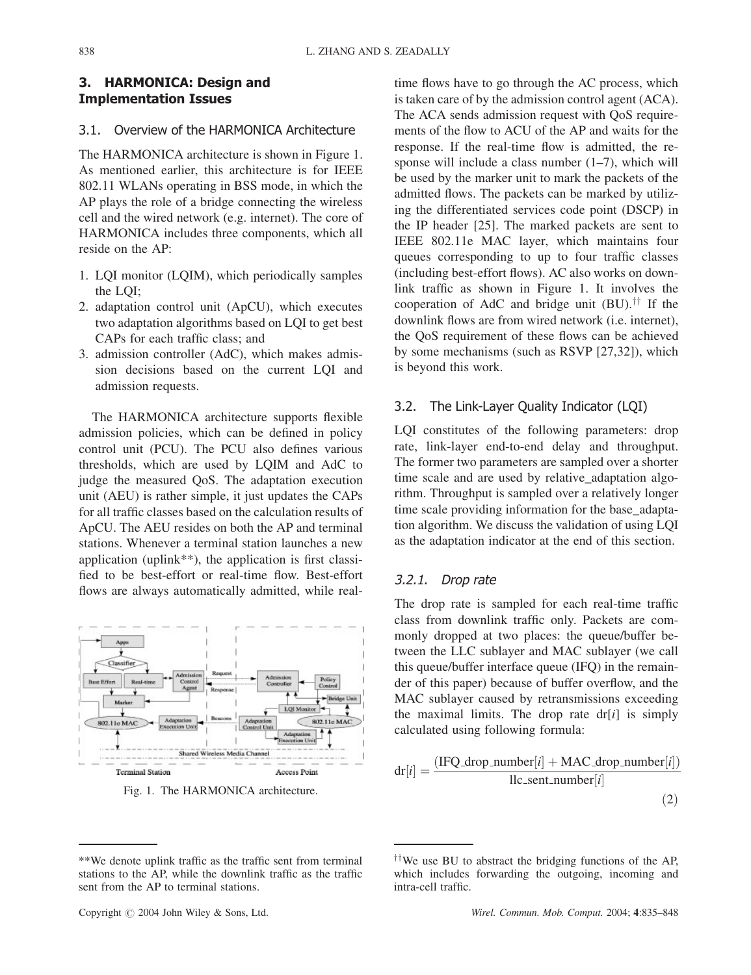## 3. HARMONICA: Design and Implementation Issues

## 3.1. Overview of the HARMONICA Architecture

The HARMONICA architecture is shown in Figure 1. As mentioned earlier, this architecture is for IEEE 802.11 WLANs operating in BSS mode, in which the AP plays the role of a bridge connecting the wireless cell and the wired network (e.g. internet). The core of HARMONICA includes three components, which all reside on the AP:

- 1. LQI monitor (LQIM), which periodically samples the LQI;
- 2. adaptation control unit (ApCU), which executes two adaptation algorithms based on LQI to get best CAPs for each traffic class; and
- 3. admission controller (AdC), which makes admission decisions based on the current LQI and admission requests.

The HARMONICA architecture supports flexible admission policies, which can be defined in policy control unit (PCU). The PCU also defines various thresholds, which are used by LQIM and AdC to judge the measured QoS. The adaptation execution unit (AEU) is rather simple, it just updates the CAPs for all traffic classes based on the calculation results of ApCU. The AEU resides on both the AP and terminal stations. Whenever a terminal station launches a new application (uplink\*\*), the application is first classified to be best-effort or real-time flow. Best-effort flows are always automatically admitted, while real-



Fig. 1. The HARMONICA architecture.

\*\*We denote uplink traffic as the traffic sent from terminal stations to the AP, while the downlink traffic as the traffic sent from the AP to terminal stations.

time flows have to go through the AC process, which is taken care of by the admission control agent (ACA). The ACA sends admission request with QoS requirements of the flow to ACU of the AP and waits for the response. If the real-time flow is admitted, the response will include a class number (1–7), which will be used by the marker unit to mark the packets of the admitted flows. The packets can be marked by utilizing the differentiated services code point (DSCP) in the IP header [25]. The marked packets are sent to IEEE 802.11e MAC layer, which maintains four queues corresponding to up to four traffic classes (including best-effort flows). AC also works on downlink traffic as shown in Figure 1. It involves the cooperation of AdC and bridge unit  $(BU)$ .<sup> $\dagger\dagger$ </sup> If the downlink flows are from wired network (i.e. internet), the QoS requirement of these flows can be achieved by some mechanisms (such as RSVP [27,32]), which is beyond this work.

## 3.2. The Link-Layer Quality Indicator (LQI)

LQI constitutes of the following parameters: drop rate, link-layer end-to-end delay and throughput. The former two parameters are sampled over a shorter time scale and are used by relative\_adaptation algorithm. Throughput is sampled over a relatively longer time scale providing information for the base\_adaptation algorithm. We discuss the validation of using LQI as the adaptation indicator at the end of this section.

## 3.2.1. Drop rate

The drop rate is sampled for each real-time traffic class from downlink traffic only. Packets are commonly dropped at two places: the queue/buffer between the LLC sublayer and MAC sublayer (we call this queue/buffer interface queue (IFQ) in the remainder of this paper) because of buffer overflow, and the MAC sublayer caused by retransmissions exceeding the maximal limits. The drop rate  $dr[i]$  is simply calculated using following formula:

$$
dr[i] = \frac{(IFQ-drop_number[i] + MAC-drop_number[i])}{Ilc\_sent_number[i]}
$$
\n(2)

 $\beta$ <sup>††</sup>We use BU to abstract the bridging functions of the AP, which includes forwarding the outgoing, incoming and intra-cell traffic.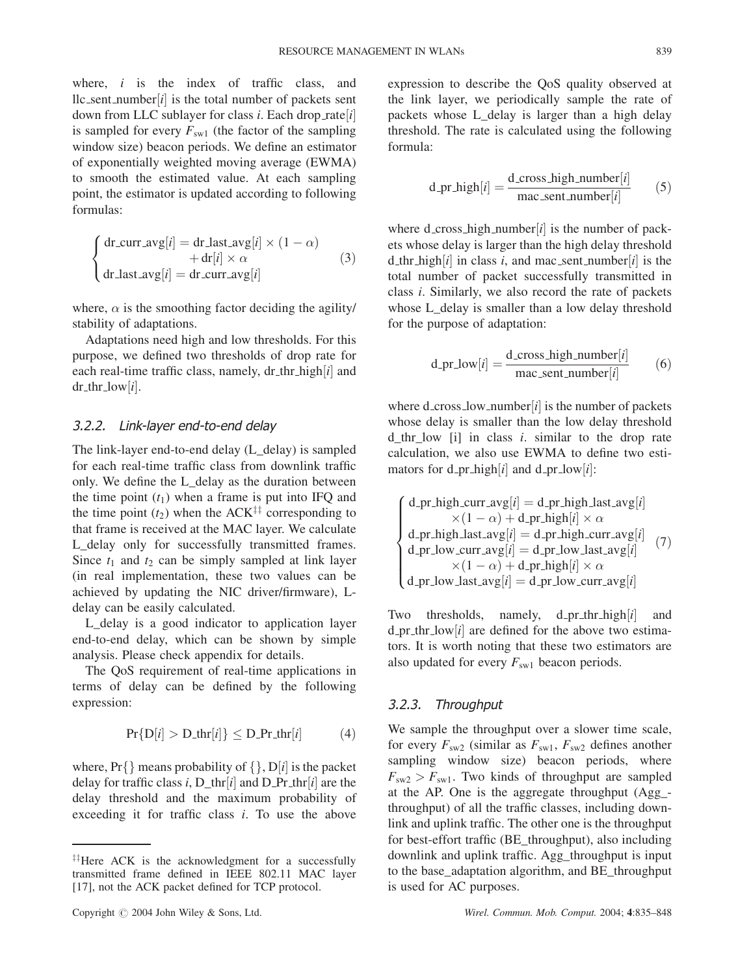where,  $i$  is the index of traffic class, and llc\_sent\_number[ $i$ ] is the total number of packets sent down from LLC sublayer for class *i*. Each drop\_rate[ $i$ ] is sampled for every  $F_{\text{sw1}}$  (the factor of the sampling window size) beacon periods. We define an estimator of exponentially weighted moving average (EWMA) to smooth the estimated value. At each sampling point, the estimator is updated according to following formulas:

$$
\begin{cases}\n\text{dr.curr.} \text{avg}[i] = \text{dr.} \text{last.} \text{avg}[i] \times (1 - \alpha) \\
+ \text{dr}[i] \times \alpha \\
\text{dr.} \text{last.} \text{avg}[i] = \text{dr.} \text{curr.} \text{avg}[i]\n\end{cases} \tag{3}
$$

where,  $\alpha$  is the smoothing factor deciding the agility/ stability of adaptations.

Adaptations need high and low thresholds. For this purpose, we defined two thresholds of drop rate for each real-time traffic class, namely,  $dr$ -thr-high $[i]$  and dr\_thr\_low[ $i$ ].

## 3.2.2. Link-layer end-to-end delay

The link-layer end-to-end delay (L\_delay) is sampled for each real-time traffic class from downlink traffic only. We define the L\_delay as the duration between the time point  $(t_1)$  when a frame is put into IFQ and the time point  $(t_2)$  when the ACK<sup> $\ddagger\ddagger$ </sup> corresponding to that frame is received at the MAC layer. We calculate L\_delay only for successfully transmitted frames. Since  $t_1$  and  $t_2$  can be simply sampled at link layer (in real implementation, these two values can be achieved by updating the NIC driver/firmware), Ldelay can be easily calculated.

L\_delay is a good indicator to application layer end-to-end delay, which can be shown by simple analysis. Please check appendix for details.

The QoS requirement of real-time applications in terms of delay can be defined by the following expression:

$$
Pr{D[i] > D_thr[i]} \le D_pr_thr[i] \tag{4}
$$

where,  $Pr\{\}\$  means probability of  $\{\}$ ,  $D[i]$  is the packet delay for traffic class i,  $D_{\perp}$ thr $[i]$  and  $D_{\perp}$ Pr $_{\perp}$ thr $[i]$  are the delay threshold and the maximum probability of exceeding it for traffic class  $i$ . To use the above

expression to describe the QoS quality observed at the link layer, we periodically sample the rate of packets whose L\_delay is larger than a high delay threshold. The rate is calculated using the following formula:

d-pr-high[*i*] = 
$$
\frac{\text{d\_cross-high_number}[i]}{\text{mac\_sent_number}[i]}
$$
(5)

where  $d$  cross high number  $[i]$  is the number of packets whose delay is larger than the high delay threshold d\_thr\_high[i] in class i, and mac\_sent\_number[i] is the total number of packet successfully transmitted in class i. Similarly, we also record the rate of packets whose L delay is smaller than a low delay threshold for the purpose of adaptation:

d\_pr\_low[i] = 
$$
\frac{d_r \cdot d_r \cdot d_r}{\text{mac}\cdot \text{sent_number}[i]}
$$
 (6)

where d\_cross\_low\_number[ $i$ ] is the number of packets whose delay is smaller than the low delay threshold d thr low  $[i]$  in class i. similar to the drop rate calculation, we also use EWMA to define two estimators for d\_pr\_high[ $i$ ] and d\_pr\_low[ $i$ ]:

$$
\left\{ \begin{array}{ll} \texttt{d-pr.high\_curr\_avg}[i] = \texttt{d_pr.high\_last\_avg}[i] \\ \times (1-\alpha) + \texttt{d_pr.high}[i] \times \alpha \\ \texttt{d_pr.high\_last\_avg}[i] = \texttt{d_pr.high\_curr\_avg}[i] \\ \texttt{d_pr_low\_curr\_avg}[i] = \texttt{d_pr_low\_last\_avg}[i] \\ \times (1-\alpha) + \texttt{d_pr.high}[i] \times \alpha \\ \texttt{d_pr_low\_last\_avg}[i] = \texttt{d_pr_low\_curr\_avg}[i] \end{array} \right. \tag{7}
$$

Two thresholds, namely, d\_pr\_thr\_high $[i]$  and  $d$ -pr\_thr\_low[ $i$ ] are defined for the above two estimators. It is worth noting that these two estimators are also updated for every  $F_{sw1}$  beacon periods.

#### 3.2.3. Throughput

We sample the throughput over a slower time scale, for every  $F_{sw2}$  (similar as  $F_{sw1}$ ,  $F_{sw2}$  defines another sampling window size) beacon periods, where  $F_{sw2} > F_{sw1}$ . Two kinds of throughput are sampled at the AP. One is the aggregate throughput (Agg\_ throughput) of all the traffic classes, including downlink and uplink traffic. The other one is the throughput for best-effort traffic (BE\_throughput), also including downlink and uplink traffic. Agg\_throughput is input to the base\_adaptation algorithm, and BE\_throughput is used for AC purposes.

 $\ddagger$ <sup>‡‡</sup>Here ACK is the acknowledgment for a successfully transmitted frame defined in IEEE 802.11 MAC layer [17], not the ACK packet defined for TCP protocol.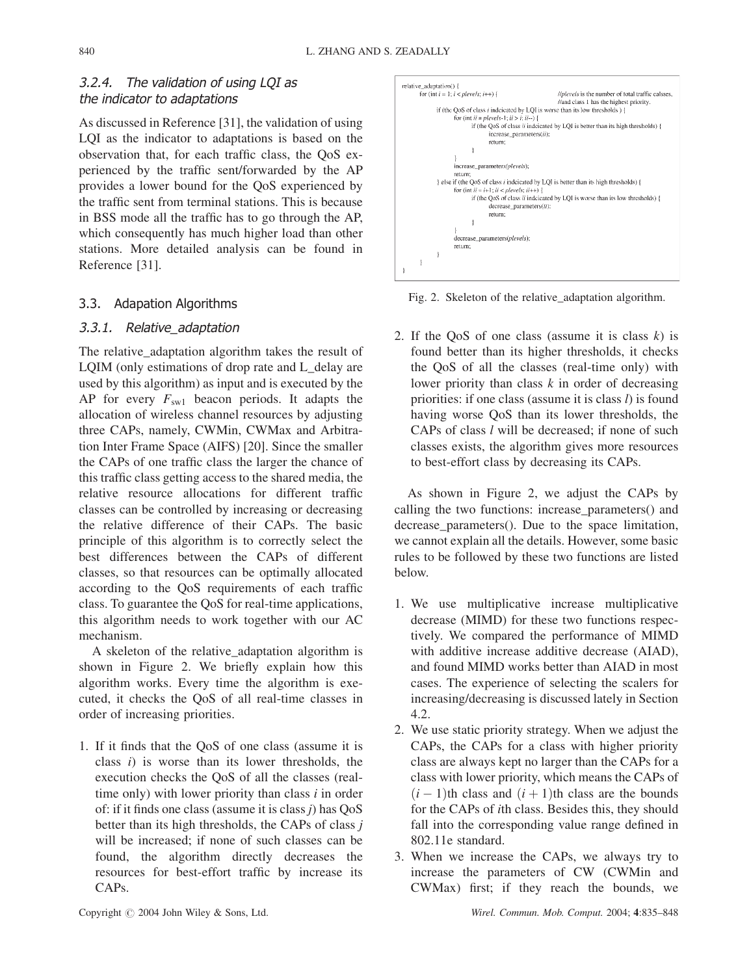# 3.2.4. The validation of using LQI as the indicator to adaptations

As discussed in Reference [31], the validation of using LQI as the indicator to adaptations is based on the observation that, for each traffic class, the QoS experienced by the traffic sent/forwarded by the AP provides a lower bound for the QoS experienced by the traffic sent from terminal stations. This is because in BSS mode all the traffic has to go through the AP, which consequently has much higher load than other stations. More detailed analysis can be found in Reference [31].

## 3.3. Adapation Algorithms

## 3.3.1. Relative\_adaptation

The relative\_adaptation algorithm takes the result of LQIM (only estimations of drop rate and L\_delay are used by this algorithm) as input and is executed by the AP for every  $F_{sw1}$  beacon periods. It adapts the allocation of wireless channel resources by adjusting three CAPs, namely, CWMin, CWMax and Arbitration Inter Frame Space (AIFS) [20]. Since the smaller the CAPs of one traffic class the larger the chance of this traffic class getting access to the shared media, the relative resource allocations for different traffic classes can be controlled by increasing or decreasing the relative difference of their CAPs. The basic principle of this algorithm is to correctly select the best differences between the CAPs of different classes, so that resources can be optimally allocated according to the QoS requirements of each traffic class. To guarantee the QoS for real-time applications, this algorithm needs to work together with our AC mechanism.

A skeleton of the relative\_adaptation algorithm is shown in Figure 2. We briefly explain how this algorithm works. Every time the algorithm is executed, it checks the QoS of all real-time classes in order of increasing priorities.

1. If it finds that the QoS of one class (assume it is class  $i$ ) is worse than its lower thresholds, the execution checks the QoS of all the classes (realtime only) with lower priority than class  $i$  in order of: if it finds one class (assume it is class j) has QoS better than its high thresholds, the CAPs of class *j* will be increased; if none of such classes can be found, the algorithm directly decreases the resources for best-effort traffic by increase its CAPs.



Fig. 2. Skeleton of the relative\_adaptation algorithm.

2. If the  $\cos$  of one class (assume it is class k) is found better than its higher thresholds, it checks the QoS of all the classes (real-time only) with lower priority than class  $k$  in order of decreasing priorities: if one class (assume it is class  $l$ ) is found having worse QoS than its lower thresholds, the CAPs of class *l* will be decreased; if none of such classes exists, the algorithm gives more resources to best-effort class by decreasing its CAPs.

As shown in Figure 2, we adjust the CAPs by calling the two functions: increase\_parameters() and decrease parameters(). Due to the space limitation, we cannot explain all the details. However, some basic rules to be followed by these two functions are listed below.

- 1. We use multiplicative increase multiplicative decrease (MIMD) for these two functions respectively. We compared the performance of MIMD with additive increase additive decrease (AIAD), and found MIMD works better than AIAD in most cases. The experience of selecting the scalers for increasing/decreasing is discussed lately in Section 4.2.
- 2. We use static priority strategy. When we adjust the CAPs, the CAPs for a class with higher priority class are always kept no larger than the CAPs for a class with lower priority, which means the CAPs of  $(i - 1)$ th class and  $(i + 1)$ th class are the bounds for the CAPs of ith class. Besides this, they should fall into the corresponding value range defined in 802.11e standard.
- 3. When we increase the CAPs, we always try to increase the parameters of CW (CWMin and CWMax) first; if they reach the bounds, we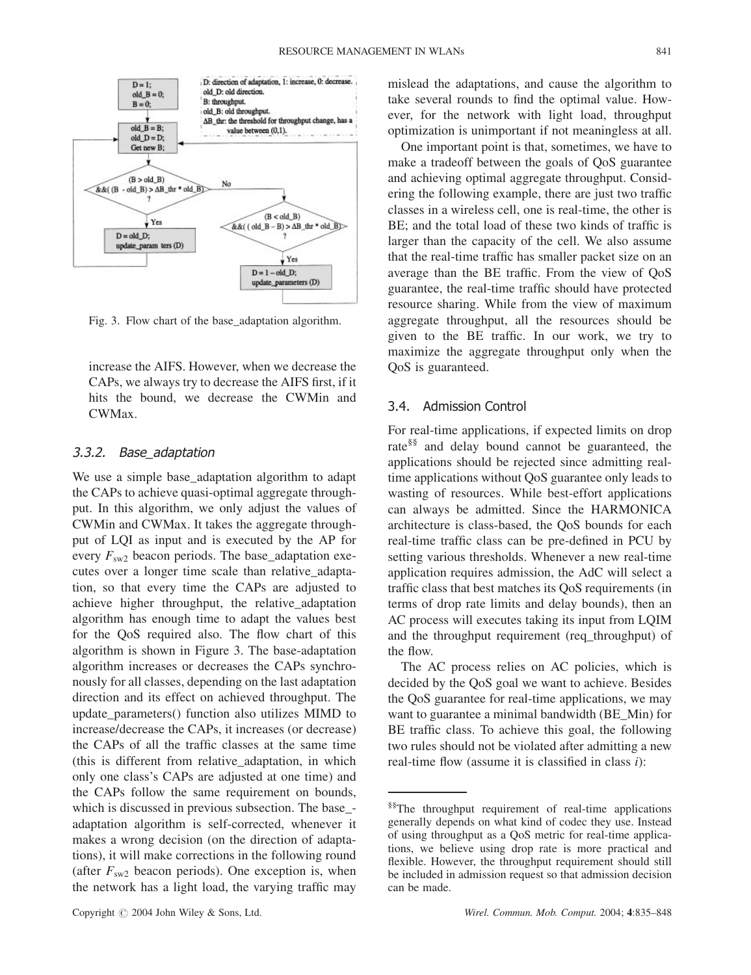

Fig. 3. Flow chart of the base\_adaptation algorithm.

increase the AIFS. However, when we decrease the CAPs, we always try to decrease the AIFS first, if it hits the bound, we decrease the CWMin and CWMax.

#### 3.3.2. Base\_adaptation

We use a simple base adaptation algorithm to adapt the CAPs to achieve quasi-optimal aggregate throughput. In this algorithm, we only adjust the values of CWMin and CWMax. It takes the aggregate throughput of LQI as input and is executed by the AP for every  $F_{sw2}$  beacon periods. The base\_adaptation executes over a longer time scale than relative\_adaptation, so that every time the CAPs are adjusted to achieve higher throughput, the relative\_adaptation algorithm has enough time to adapt the values best for the QoS required also. The flow chart of this algorithm is shown in Figure 3. The base-adaptation algorithm increases or decreases the CAPs synchronously for all classes, depending on the last adaptation direction and its effect on achieved throughput. The update\_parameters() function also utilizes MIMD to increase/decrease the CAPs, it increases (or decrease) the CAPs of all the traffic classes at the same time (this is different from relative\_adaptation, in which only one class's CAPs are adjusted at one time) and the CAPs follow the same requirement on bounds, which is discussed in previous subsection. The base\_ adaptation algorithm is self-corrected, whenever it makes a wrong decision (on the direction of adaptations), it will make corrections in the following round (after  $F_{sw2}$  beacon periods). One exception is, when the network has a light load, the varying traffic may

mislead the adaptations, and cause the algorithm to take several rounds to find the optimal value. However, for the network with light load, throughput optimization is unimportant if not meaningless at all.

One important point is that, sometimes, we have to make a tradeoff between the goals of QoS guarantee and achieving optimal aggregate throughput. Considering the following example, there are just two traffic classes in a wireless cell, one is real-time, the other is BE; and the total load of these two kinds of traffic is larger than the capacity of the cell. We also assume that the real-time traffic has smaller packet size on an average than the BE traffic. From the view of QoS guarantee, the real-time traffic should have protected resource sharing. While from the view of maximum aggregate throughput, all the resources should be given to the BE traffic. In our work, we try to maximize the aggregate throughput only when the QoS is guaranteed.

## 3.4. Admission Control

For real-time applications, if expected limits on drop rate<sup>§§</sup> and delay bound cannot be guaranteed, the applications should be rejected since admitting realtime applications without QoS guarantee only leads to wasting of resources. While best-effort applications can always be admitted. Since the HARMONICA architecture is class-based, the QoS bounds for each real-time traffic class can be pre-defined in PCU by setting various thresholds. Whenever a new real-time application requires admission, the AdC will select a traffic class that best matches its QoS requirements (in terms of drop rate limits and delay bounds), then an AC process will executes taking its input from LQIM and the throughput requirement (req\_throughput) of the flow.

The AC process relies on AC policies, which is decided by the QoS goal we want to achieve. Besides the QoS guarantee for real-time applications, we may want to guarantee a minimal bandwidth (BE\_Min) for BE traffic class. To achieve this goal, the following two rules should not be violated after admitting a new real-time flow (assume it is classified in class  $i$ ):

<sup>§§</sup>The throughput requirement of real-time applications generally depends on what kind of codec they use. Instead of using throughput as a QoS metric for real-time applications, we believe using drop rate is more practical and flexible. However, the throughput requirement should still be included in admission request so that admission decision can be made.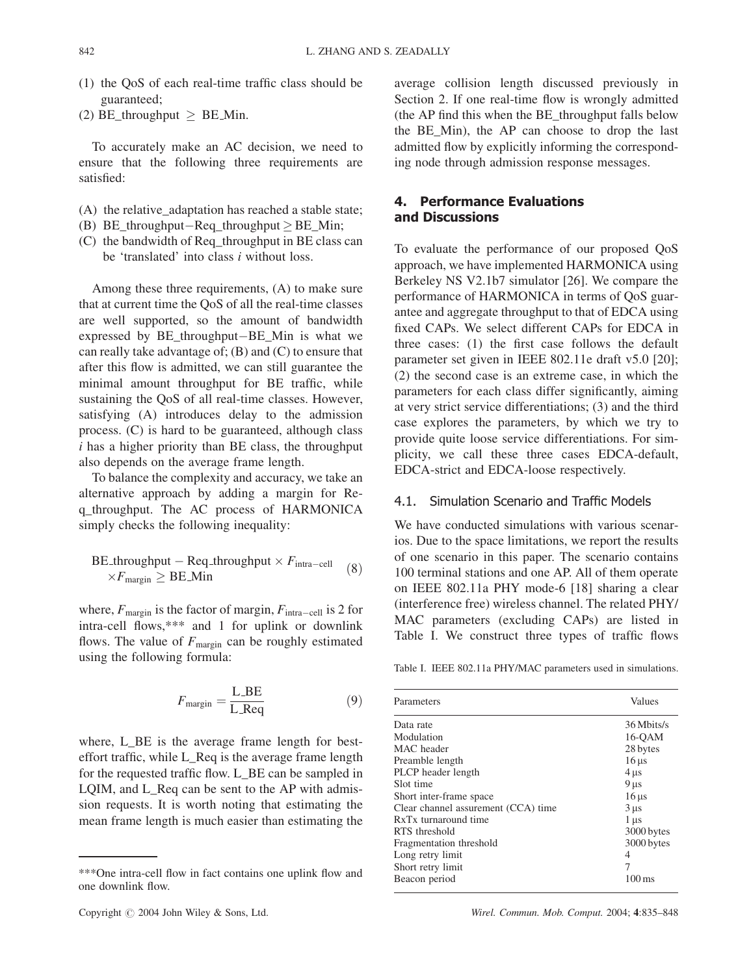- (1) the QoS of each real-time traffic class should be guaranteed;
- (2) BE\_throughput  $\geq$  BE\_Min.

To accurately make an AC decision, we need to ensure that the following three requirements are satisfied:

- (A) the relative adaptation has reached a stable state;
- (B) BE\_throughput-Req\_throughput  $\geq$  BE\_Min;
- (C) the bandwidth of Req\_throughput in BE class can be 'translated' into class *i* without loss.

Among these three requirements, (A) to make sure that at current time the QoS of all the real-time classes are well supported, so the amount of bandwidth expressed by  $BE$  throughput $-BE$  Min is what we can really take advantage of; (B) and (C) to ensure that after this flow is admitted, we can still guarantee the minimal amount throughput for BE traffic, while sustaining the QoS of all real-time classes. However, satisfying (A) introduces delay to the admission process. (C) is hard to be guaranteed, although class  $i$  has a higher priority than BE class, the throughput also depends on the average frame length.

To balance the complexity and accuracy, we take an alternative approach by adding a margin for Req\_throughput. The AC process of HARMONICA simply checks the following inequality:

$$
BE\_throughput - Req\_throughput \times F_{intra-cell} \times F_{margin} \geq BE\_Min
$$
 (8)

where,  $F_{\text{margin}}$  is the factor of margin,  $F_{\text{intra-cell}}$  is 2 for intra-cell flows,\*\*\* and 1 for uplink or downlink flows. The value of  $F_{\text{margin}}$  can be roughly estimated using the following formula:

$$
F_{\text{margin}} = \frac{\text{L-BE}}{\text{L-Req}} \tag{9}
$$

where, L\_BE is the average frame length for besteffort traffic, while L\_Req is the average frame length for the requested traffic flow. L\_BE can be sampled in LOIM, and L\_Req can be sent to the AP with admission requests. It is worth noting that estimating the mean frame length is much easier than estimating the average collision length discussed previously in Section 2. If one real-time flow is wrongly admitted (the AP find this when the BE\_throughput falls below the BE\_Min), the AP can choose to drop the last admitted flow by explicitly informing the corresponding node through admission response messages.

# 4. Performance Evaluations and Discussions

To evaluate the performance of our proposed QoS approach, we have implemented HARMONICA using Berkeley NS V2.1b7 simulator [26]. We compare the performance of HARMONICA in terms of QoS guarantee and aggregate throughput to that of EDCA using fixed CAPs. We select different CAPs for EDCA in three cases: (1) the first case follows the default parameter set given in IEEE 802.11e draft v5.0 [20]; (2) the second case is an extreme case, in which the parameters for each class differ significantly, aiming at very strict service differentiations; (3) and the third case explores the parameters, by which we try to provide quite loose service differentiations. For simplicity, we call these three cases EDCA-default, EDCA-strict and EDCA-loose respectively.

## 4.1. Simulation Scenario and Traffic Models

We have conducted simulations with various scenarios. Due to the space limitations, we report the results of one scenario in this paper. The scenario contains 100 terminal stations and one AP. All of them operate on IEEE 802.11a PHY mode-6 [18] sharing a clear (interference free) wireless channel. The related PHY/ MAC parameters (excluding CAPs) are listed in Table I. We construct three types of traffic flows

Table I. IEEE 802.11a PHY/MAC parameters used in simulations.

| Parameters                          | Values     |  |
|-------------------------------------|------------|--|
| Data rate                           | 36 Mbits/s |  |
| Modulation                          | 16-OAM     |  |
| MAC header                          | 28 bytes   |  |
| Preamble length                     | $16 \mu s$ |  |
| PLCP header length                  | $4 \mu s$  |  |
| Slot time                           | $9 \mu s$  |  |
| Short inter-frame space             | $16 \mu s$ |  |
| Clear channel assurement (CCA) time | $3 \mu s$  |  |
| RxTx turnaround time                | $1 \mu s$  |  |
| RTS threshold                       | 3000 bytes |  |
| Fragmentation threshold             | 3000 bytes |  |
| Long retry limit                    | 4          |  |
| Short retry limit                   | 7          |  |
| Beacon period                       | 100 ms     |  |

<sup>\*\*\*</sup>One intra-cell flow in fact contains one uplink flow and one downlink flow.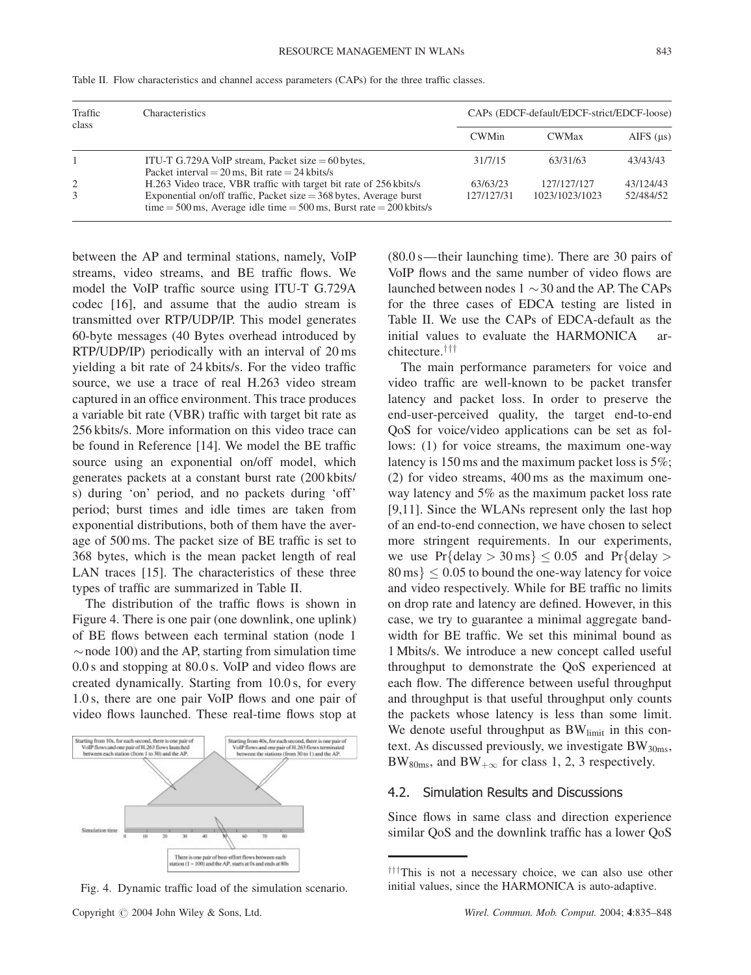| Traffic<br>class | Characteristics                                                                                                                                                             | CAPs (EDCF-default/EDCF-strict/EDCF-loose) |                |             |
|------------------|-----------------------------------------------------------------------------------------------------------------------------------------------------------------------------|--------------------------------------------|----------------|-------------|
|                  |                                                                                                                                                                             | <b>CWMin</b>                               | <b>CWMax</b>   | AIFS $(us)$ |
|                  | ITU-T G.729A VoIP stream, Packet size $= 60$ bytes,<br>Packet interval = $20 \text{ ms}$ , Bit rate = $24 \text{ kbits/s}$                                                  | 31/7/15                                    | 63/31/63       | 43/43/43    |
| 2                | H.263 Video trace, VBR traffic with target bit rate of 256 kbits/s                                                                                                          | 63/63/23                                   | 127/127/127    | 43/124/43   |
| 3                | Exponential on/off traffic, Packet size $=$ 368 bytes, Average burst<br>time = $500 \text{ ms}$ , Average idle time = $500 \text{ ms}$ , Burst rate = $200 \text{ kbits/s}$ | 127/127/31                                 | 1023/1023/1023 | 52/484/52   |

Table II. Flow characteristics and channel access parameters (CAPs) for the three traffic classes.

between the AP and terminal stations, namely, VoIP streams, video streams, and BE traffic flows. We model the VoIP traffic source using ITU-T G.729A codec [16], and assume that the audio stream is transmitted over RTP/UDP/IP. This model generates 60-byte messages (40 Bytes overhead introduced by RTP/UDP/IP) periodically with an interval of 20 ms yielding a bit rate of 24 kbits/s. For the video traffic source, we use a trace of real H.263 video stream captured in an office environment. This trace produces a variable bit rate (VBR) traffic with target bit rate as 256 kbits/s. More information on this video trace can be found in Reference [14]. We model the BE traffic source using an exponential on/off model, which generates packets at a constant burst rate (200 kbits/ s) during 'on' period, and no packets during 'off' period; burst times and idle times are taken from exponential distributions, both of them have the average of 500 ms. The packet size of BE traffic is set to 368 bytes, which is the mean packet length of real LAN traces [15]. The characteristics of these three types of traffic are summarized in Table II.

The distribution of the traffic flows is shown in Figure 4. There is one pair (one downlink, one uplink) of BE flows between each terminal station (node 1  $\sim$  node 100) and the AP, starting from simulation time 0.0 s and stopping at 80.0 s. VoIP and video flows are created dynamically. Starting from 10.0 s, for every 1.0 s, there are one pair VoIP flows and one pair of video flows launched. These real-time flows stop at



(80.0 s—their launching time). There are 30 pairs of VoIP flows and the same number of video flows are launched between nodes  $1 \sim 30$  and the AP. The CAPs for the three cases of EDCA testing are listed in Table II. We use the CAPs of EDCA-default as the initial values to evaluate the HARMONICA architecture.<sup>†††</sup>

The main performance parameters for voice and video traffic are well-known to be packet transfer latency and packet loss. In order to preserve the end-user-perceived quality, the target end-to-end QoS for voice/video applications can be set as follows: (1) for voice streams, the maximum one-way latency is 150 ms and the maximum packet loss is 5%; (2) for video streams, 400 ms as the maximum oneway latency and 5% as the maximum packet loss rate [9,11]. Since the WLANs represent only the last hop of an end-to-end connection, we have chosen to select more stringent requirements. In our experiments, we use  $Pr{delay > 30 \text{ ms}} \le 0.05$  and  $Pr{delay > 0.05}$  $80 \,\text{ms} \} \leq 0.05$  to bound the one-way latency for voice and video respectively. While for BE traffic no limits on drop rate and latency are defined. However, in this case, we try to guarantee a minimal aggregate bandwidth for BE traffic. We set this minimal bound as 1 Mbits/s. We introduce a new concept called useful throughput to demonstrate the QoS experienced at each flow. The difference between useful throughput and throughput is that useful throughput only counts the packets whose latency is less than some limit. We denote useful throughput as BW<sub>limit</sub> in this context. As discussed previously, we investigate  $BW_{30ms}$ ,  $BW_{80ms}$ , and  $BW_{+\infty}$  for class 1, 2, 3 respectively.

#### 4.2. Simulation Results and Discussions

Since flows in same class and direction experience similar QoS and the downlink traffic has a lower QoS

titThis is not a necessary choice, we can also use other Fig. 4. Dynamic traffic load of the simulation scenario. initial values, since the HARMONICA is auto-adaptive.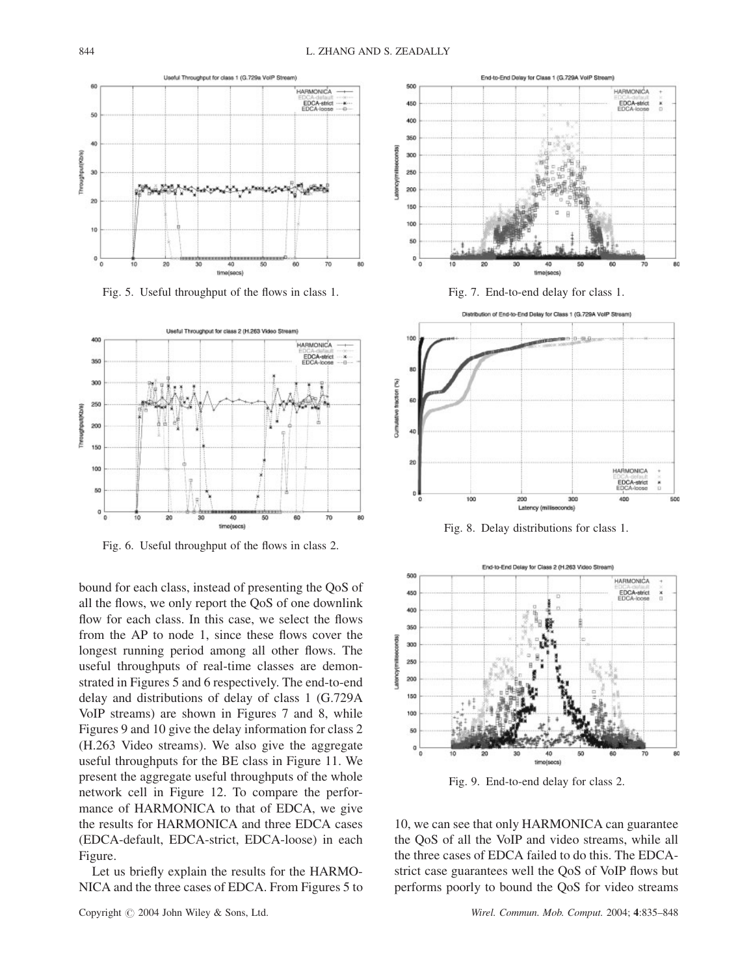

Fig. 5. Useful throughput of the flows in class 1.



Fig. 6. Useful throughput of the flows in class 2.

bound for each class, instead of presenting the QoS of all the flows, we only report the QoS of one downlink flow for each class. In this case, we select the flows from the AP to node 1, since these flows cover the longest running period among all other flows. The useful throughputs of real-time classes are demonstrated in Figures 5 and 6 respectively. The end-to-end delay and distributions of delay of class 1 (G.729A VoIP streams) are shown in Figures 7 and 8, while Figures 9 and 10 give the delay information for class 2 (H.263 Video streams). We also give the aggregate useful throughputs for the BE class in Figure 11. We present the aggregate useful throughputs of the whole network cell in Figure 12. To compare the performance of HARMONICA to that of EDCA, we give the results for HARMONICA and three EDCA cases (EDCA-default, EDCA-strict, EDCA-loose) in each Figure.

Let us briefly explain the results for the HARMO-NICA and the three cases of EDCA. From Figures 5 to



Fig. 7. End-to-end delay for class 1.



Fig. 8. Delay distributions for class 1.



Fig. 9. End-to-end delay for class 2.

10, we can see that only HARMONICA can guarantee the QoS of all the VoIP and video streams, while all the three cases of EDCA failed to do this. The EDCAstrict case guarantees well the QoS of VoIP flows but performs poorly to bound the QoS for video streams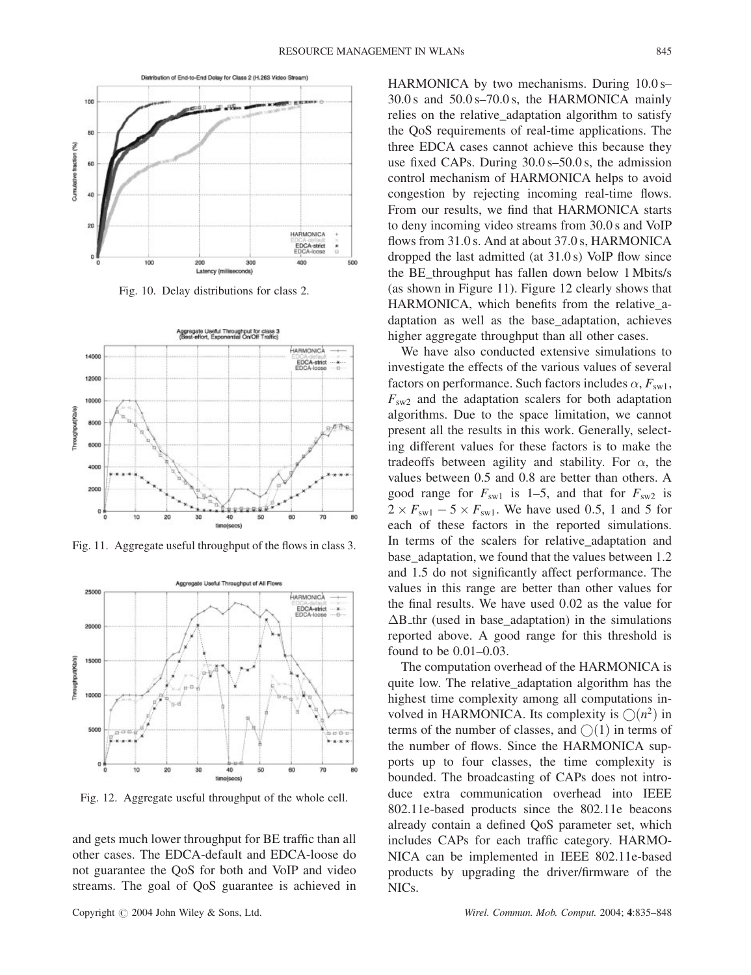

Fig. 10. Delay distributions for class 2.



Fig. 11. Aggregate useful throughput of the flows in class 3.



Fig. 12. Aggregate useful throughput of the whole cell.

and gets much lower throughput for BE traffic than all other cases. The EDCA-default and EDCA-loose do not guarantee the QoS for both and VoIP and video streams. The goal of QoS guarantee is achieved in

control mechanism of HARMONICA helps to avoid congestion by rejecting incoming real-time flows. From our results, we find that HARMONICA starts to deny incoming video streams from 30.0 s and VoIP flows from 31.0 s. And at about 37.0 s, HARMONICA dropped the last admitted (at 31.0 s) VoIP flow since the BE\_throughput has fallen down below 1 Mbits/s (as shown in Figure 11). Figure 12 clearly shows that HARMONICA, which benefits from the relative\_adaptation as well as the base\_adaptation, achieves higher aggregate throughput than all other cases. We have also conducted extensive simulations to investigate the effects of the various values of several factors on performance. Such factors includes  $\alpha$ ,  $F_{\text{sw1}}$ ,  $F_{sw2}$  and the adaptation scalers for both adaptation

HARMONICA by two mechanisms. During 10.0 s– 30.0 s and 50.0 s–70.0 s, the HARMONICA mainly relies on the relative\_adaptation algorithm to satisfy the QoS requirements of real-time applications. The three EDCA cases cannot achieve this because they use fixed CAPs. During 30.0 s–50.0 s, the admission

algorithms. Due to the space limitation, we cannot present all the results in this work. Generally, selecting different values for these factors is to make the tradeoffs between agility and stability. For  $\alpha$ , the values between 0.5 and 0.8 are better than others. A good range for  $F_{sw1}$  is 1–5, and that for  $F_{sw2}$  is  $2 \times F_{sw1} - 5 \times F_{sw1}$ . We have used 0.5, 1 and 5 for each of these factors in the reported simulations. In terms of the scalers for relative adaptation and base\_adaptation, we found that the values between 1.2 and 1.5 do not significantly affect performance. The values in this range are better than other values for the final results. We have used 0:02 as the value for  $\Delta B$  thr (used in base adaptation) in the simulations reported above. A good range for this threshold is found to be 0.01–0.03.

The computation overhead of the HARMONICA is quite low. The relative\_adaptation algorithm has the highest time complexity among all computations involved in HARMONICA. Its complexity is  $\bigcap (n^2)$  in terms of the number of classes, and  $\bigcap(1)$  in terms of the number of flows. Since the HARMONICA supports up to four classes, the time complexity is bounded. The broadcasting of CAPs does not introduce extra communication overhead into IEEE 802.11e-based products since the 802.11e beacons already contain a defined QoS parameter set, which includes CAPs for each traffic category. HARMO-NICA can be implemented in IEEE 802.11e-based products by upgrading the driver/firmware of the NICs.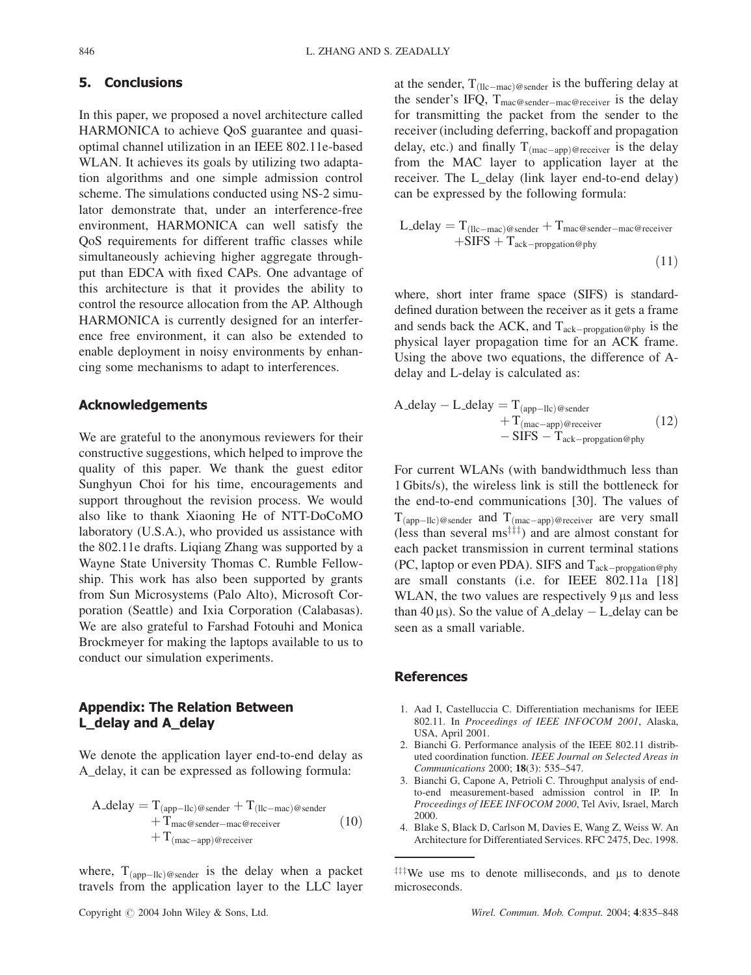## 5. Conclusions

In this paper, we proposed a novel architecture called HARMONICA to achieve QoS guarantee and quasioptimal channel utilization in an IEEE 802.11e-based WLAN. It achieves its goals by utilizing two adaptation algorithms and one simple admission control scheme. The simulations conducted using NS-2 simulator demonstrate that, under an interference-free environment, HARMONICA can well satisfy the QoS requirements for different traffic classes while simultaneously achieving higher aggregate throughput than EDCA with fixed CAPs. One advantage of this architecture is that it provides the ability to control the resource allocation from the AP. Although HARMONICA is currently designed for an interference free environment, it can also be extended to enable deployment in noisy environments by enhancing some mechanisms to adapt to interferences.

#### Acknowledgements

We are grateful to the anonymous reviewers for their constructive suggestions, which helped to improve the quality of this paper. We thank the guest editor Sunghyun Choi for his time, encouragements and support throughout the revision process. We would also like to thank Xiaoning He of NTT-DoCoMO laboratory (U.S.A.), who provided us assistance with the 802.11e drafts. Liqiang Zhang was supported by a Wayne State University Thomas C. Rumble Fellowship. This work has also been supported by grants from Sun Microsystems (Palo Alto), Microsoft Corporation (Seattle) and Ixia Corporation (Calabasas). We are also grateful to Farshad Fotouhi and Monica Brockmeyer for making the laptops available to us to conduct our simulation experiments.

## Appendix: The Relation Between L\_delay and A\_delay

We denote the application layer end-to-end delay as A\_delay, it can be expressed as following formula:

$$
A\_delay = T_{(app-1lc) @ sender} + T_{(llc-mac) @ sender} + T_{mac@sender-mac@receiver} \qquad (10)
$$
  
+ T<sub>(mac-app)@receiver</sub>

where,  $T_{(app-1)c)\text{@sender}}$  is the delay when a packet travels from the application layer to the LLC layer at the sender,  $T_{(1lc - mac)@sender}$  is the buffering delay at the sender's IFQ, T<sub>mac@sender-mac@receiver</sub> is the delay for transmitting the packet from the sender to the receiver (including deferring, backoff and propagation delay, etc.) and finally  $T_{(mac-app)@receiver}$  is the delay from the MAC layer to application layer at the receiver. The L\_delay (link layer end-to-end delay) can be expressed by the following formula:

$$
L\_delay = T_{(llc-mac)@sender} + T_{mac@sender-mac@receiver} + SIFS + T_{ack-propgation@phy}
$$
\n(11)

where, short inter frame space (SIFS) is standarddefined duration between the receiver as it gets a frame and sends back the ACK, and  $T_{ack-proposition@phv}$  is the physical layer propagation time for an ACK frame. Using the above two equations, the difference of Adelay and L-delay is calculated as:

$$
\begin{aligned} \text{A-delay} - \text{L-delay} &= \text{T}_{(\text{app}-\text{Ilc}) \textcircled{e} \text{sender}} \\ &+ \text{T}_{(\text{mac}-\text{app}) \textcircled{e} \text{receiver}} \\ &- \text{SIFS} - \text{T}_{\text{ack}-\text{propation} \textcircled{e} \text{phy}} \end{aligned} \tag{12}
$$

For current WLANs (with bandwidthmuch less than 1 Gbits/s), the wireless link is still the bottleneck for the end-to-end communications [30]. The values of  $T_{\text{(app-1lc)}@sender}$  and  $T_{\text{(mac-app)}@receiveer}$  are very small (less than several  $ms^{\ddagger\ddagger\ddagger}$ ) and are almost constant for each packet transmission in current terminal stations (PC, laptop or even PDA). SIFS and  $T_{ack-propagation@phy}$ are small constants (i.e. for IEEE 802.11a [18] WLAN, the two values are respectively  $9 \mu s$  and less than 40  $\mu$ s). So the value of A\_delay  $-L$ \_delay can be seen as a small variable.

#### References

- 1. Aad I, Castelluccia C. Differentiation mechanisms for IEEE 802.11. In Proceedings of IEEE INFOCOM 2001, Alaska, USA, April 2001.
- 2. Bianchi G. Performance analysis of the IEEE 802.11 distributed coordination function. IEEE Journal on Selected Areas in Communications 2000; 18(3): 535–547.
- 3. Bianchi G, Capone A, Petrioli C. Throughput analysis of endto-end measurement-based admission control in IP. In Proceedings of IEEE INFOCOM 2000, Tel Aviv, Israel, March 2000.
- 4. Blake S, Black D, Carlson M, Davies E, Wang Z, Weiss W. An Architecture for Differentiated Services. RFC 2475, Dec. 1998.

 $\ddagger$ <sup> $\ddagger$ </sup> We use ms to denote milliseconds, and  $\mu$ s to denote microseconds.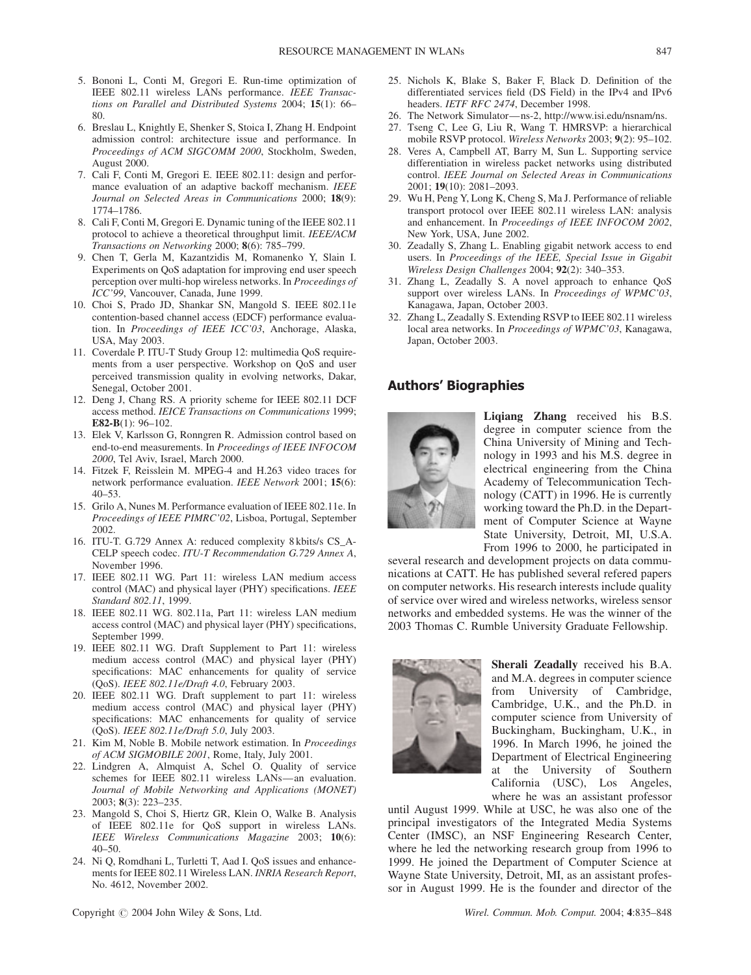- 5. Bononi L, Conti M, Gregori E. Run-time optimization of IEEE 802.11 wireless LANs performance. IEEE Transactions on Parallel and Distributed Systems 2004; 15(1): 66– 80.
- 6. Breslau L, Knightly E, Shenker S, Stoica I, Zhang H. Endpoint admission control: architecture issue and performance. In Proceedings of ACM SIGCOMM 2000, Stockholm, Sweden, August 2000.
- 7. Cali F, Conti M, Gregori E. IEEE 802.11: design and performance evaluation of an adaptive backoff mechanism. IEEE Journal on Selected Areas in Communications 2000; 18(9): 1774–1786.
- 8. Cali F, Conti M, Gregori E. Dynamic tuning of the IEEE 802.11 protocol to achieve a theoretical throughput limit. IEEE/ACM Transactions on Networking 2000; 8(6): 785–799.
- 9. Chen T, Gerla M, Kazantzidis M, Romanenko Y, Slain I. Experiments on QoS adaptation for improving end user speech perception over multi-hop wireless networks. In Proceedings of ICC'99, Vancouver, Canada, June 1999.
- 10. Choi S, Prado JD, Shankar SN, Mangold S. IEEE 802.11e contention-based channel access (EDCF) performance evaluation. In Proceedings of IEEE ICC'03, Anchorage, Alaska, USA, May 2003.
- 11. Coverdale P. ITU-T Study Group 12: multimedia QoS requirements from a user perspective. Workshop on QoS and user perceived transmission quality in evolving networks, Dakar, Senegal, October 2001.
- 12. Deng J, Chang RS. A priority scheme for IEEE 802.11 DCF access method. IEICE Transactions on Communications 1999; E82-B(1): 96–102.
- 13. Elek V, Karlsson G, Ronngren R. Admission control based on end-to-end measurements. In Proceedings of IEEE INFOCOM 2000, Tel Aviv, Israel, March 2000.
- 14. Fitzek F, Reisslein M. MPEG-4 and H.263 video traces for network performance evaluation. IEEE Network 2001; 15(6): 40–53.
- 15. Grilo A, Nunes M. Performance evaluation of IEEE 802.11e. In Proceedings of IEEE PIMRC'02, Lisboa, Portugal, September 2002.
- 16. ITU-T. G.729 Annex A: reduced complexity 8 kbits/s CS\_A-CELP speech codec. ITU-T Recommendation G.729 Annex A, November 1996.
- 17. IEEE 802.11 WG. Part 11: wireless LAN medium access control (MAC) and physical layer (PHY) specifications. IEEE Standard 802.11, 1999.
- 18. IEEE 802.11 WG. 802.11a, Part 11: wireless LAN medium access control (MAC) and physical layer (PHY) specifications, September 1999.
- 19. IEEE 802.11 WG. Draft Supplement to Part 11: wireless medium access control (MAC) and physical layer (PHY) specifications: MAC enhancements for quality of service (QoS). IEEE 802.11e/Draft 4.0, February 2003.
- 20. IEEE 802.11 WG. Draft supplement to part 11: wireless medium access control (MAC) and physical layer (PHY) specifications: MAC enhancements for quality of service (QoS). IEEE 802.11e/Draft 5.0, July 2003.
- 21. Kim M, Noble B. Mobile network estimation. In Proceedings of ACM SIGMOBILE 2001, Rome, Italy, July 2001.
- 22. Lindgren A, Almquist A, Schel O. Quality of service schemes for IEEE 802.11 wireless LANs—an evaluation. Journal of Mobile Networking and Applications (MONET) 2003; 8(3): 223–235.
- 23. Mangold S, Choi S, Hiertz GR, Klein O, Walke B. Analysis of IEEE 802.11e for QoS support in wireless LANs. IEEE Wireless Communications Magazine 2003; 10(6): 40–50.
- 24. Ni Q, Romdhani L, Turletti T, Aad I. QoS issues and enhancements for IEEE 802.11 Wireless LAN. INRIA Research Report, No. 4612, November 2002.
- 25. Nichols K, Blake S, Baker F, Black D. Definition of the differentiated services field (DS Field) in the IPv4 and IPv6 headers. IETF RFC 2474, December 1998.
- 26. The Network Simulator—ns-2, http://www.isi.edu/nsnam/ns.
- 27. Tseng C, Lee G, Liu R, Wang T. HMRSVP: a hierarchical mobile RSVP protocol. Wireless Networks 2003; 9(2): 95–102.
- 28. Veres A, Campbell AT, Barry M, Sun L. Supporting service differentiation in wireless packet networks using distributed control. IEEE Journal on Selected Areas in Communications 2001; 19(10): 2081–2093.
- 29. Wu H, Peng Y, Long K, Cheng S, Ma J. Performance of reliable transport protocol over IEEE 802.11 wireless LAN: analysis and enhancement. In Proceedings of IEEE INFOCOM 2002, New York, USA, June 2002.
- 30. Zeadally S, Zhang L. Enabling gigabit network access to end users. In Proceedings of the IEEE, Special Issue in Gigabit Wireless Design Challenges 2004; 92(2): 340–353.
- 31. Zhang L, Zeadally S. A novel approach to enhance QoS support over wireless LANs. In Proceedings of WPMC'03, Kanagawa, Japan, October 2003.
- 32. Zhang L, Zeadally S. Extending RSVP to IEEE 802.11 wireless local area networks. In Proceedings of WPMC'03, Kanagawa, Japan, October 2003.

#### Authors' Biographies



Liqiang Zhang received his B.S. degree in computer science from the China University of Mining and Technology in 1993 and his M.S. degree in electrical engineering from the China Academy of Telecommunication Technology (CATT) in 1996. He is currently working toward the Ph.D. in the Department of Computer Science at Wayne State University, Detroit, MI, U.S.A. From 1996 to 2000, he participated in

several research and development projects on data communications at CATT. He has published several refered papers on computer networks. His research interests include quality of service over wired and wireless networks, wireless sensor networks and embedded systems. He was the winner of the 2003 Thomas C. Rumble University Graduate Fellowship.



Sherali Zeadally received his B.A. and M.A. degrees in computer science from University of Cambridge, Cambridge, U.K., and the Ph.D. in computer science from University of Buckingham, Buckingham, U.K., in 1996. In March 1996, he joined the Department of Electrical Engineering at the University of Southern California (USC), Los Angeles, where he was an assistant professor

until August 1999. While at USC, he was also one of the principal investigators of the Integrated Media Systems Center (IMSC), an NSF Engineering Research Center, where he led the networking research group from 1996 to 1999. He joined the Department of Computer Science at Wayne State University, Detroit, MI, as an assistant professor in August 1999. He is the founder and director of the